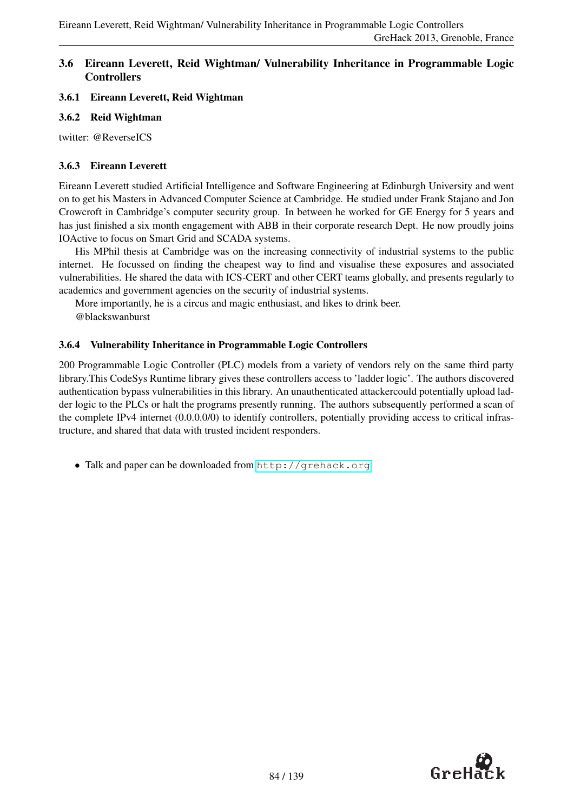### 3.6 Eireann Leverett, Reid Wightman/ Vulnerability Inheritance in Programmable Logic **Controllers**

### 3.6.1 Eireann Leverett, Reid Wightman

### 3.6.2 Reid Wightman

twitter: @ReverseICS

### 3.6.3 Eireann Leverett

Eireann Leverett studied Artificial Intelligence and Software Engineering at Edinburgh University and went on to get his Masters in Advanced Computer Science at Cambridge. He studied under Frank Stajano and Jon Crowcroft in Cambridge's computer security group. In between he worked for GE Energy for 5 years and has just finished a six month engagement with ABB in their corporate research Dept. He now proudly joins IOActive to focus on Smart Grid and SCADA systems.

His MPhil thesis at Cambridge was on the increasing connectivity of industrial systems to the public internet. He focussed on finding the cheapest way to find and visualise these exposures and associated vulnerabilities. He shared the data with ICS-CERT and other CERT teams globally, and presents regularly to academics and government agencies on the security of industrial systems.

More importantly, he is a circus and magic enthusiast, and likes to drink beer. @blackswanburst

### 3.6.4 Vulnerability Inheritance in Programmable Logic Controllers

200 Programmable Logic Controller (PLC) models from a variety of vendors rely on the same third party library.This CodeSys Runtime library gives these controllers access to 'ladder logic'. The authors discovered authentication bypass vulnerabilities in this library. An unauthenticated attackercould potentially upload ladder logic to the PLCs or halt the programs presently running. The authors subsequently performed a scan of the complete IPv4 internet (0.0.0.0/0) to identify controllers, potentially providing access to critical infrastructure, and shared that data with trusted incident responders.

• Talk and paper can be downloaded from <http://grehack.org>

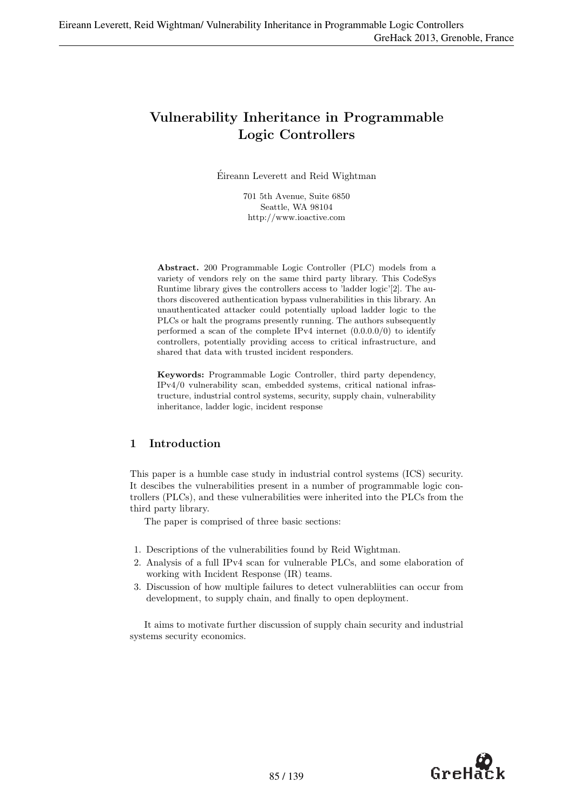# Vulnerability Inheritance in Programmable Logic Controllers

Eireann Leverett and Reid Wightman ´

701 5th Avenue, Suite 6850 Seattle, WA 98104 http://www.ioactive.com

Abstract. 200 Programmable Logic Controller (PLC) models from a variety of vendors rely on the same third party library. This CodeSys Runtime library gives the controllers access to 'ladder logic'[2]. The authors discovered authentication bypass vulnerabilities in this library. An unauthenticated attacker could potentially upload ladder logic to the PLCs or halt the programs presently running. The authors subsequently performed a scan of the complete IPv4 internet (0.0.0.0/0) to identify controllers, potentially providing access to critical infrastructure, and shared that data with trusted incident responders.

Keywords: Programmable Logic Controller, third party dependency, IPv4/0 vulnerability scan, embedded systems, critical national infrastructure, industrial control systems, security, supply chain, vulnerability inheritance, ladder logic, incident response

### 1 Introduction

This paper is a humble case study in industrial control systems (ICS) security. It descibes the vulnerabilities present in a number of programmable logic controllers (PLCs), and these vulnerabilities were inherited into the PLCs from the third party library.

The paper is comprised of three basic sections:

- 1. Descriptions of the vulnerabilities found by Reid Wightman.
- 2. Analysis of a full IPv4 scan for vulnerable PLCs, and some elaboration of working with Incident Response (IR) teams.
- 3. Discussion of how multiple failures to detect vulnerabliities can occur from development, to supply chain, and finally to open deployment.

It aims to motivate further discussion of supply chain security and industrial systems security economics.

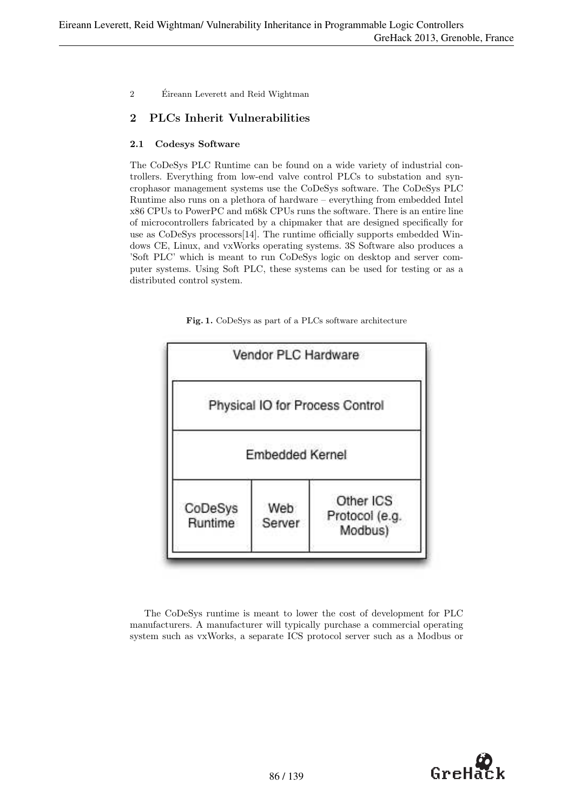## 2 PLCs Inherit Vulnerabilities

### 2.1 Codesys Software

The CoDeSys PLC Runtime can be found on a wide variety of industrial controllers. Everything from low-end valve control PLCs to substation and syncrophasor management systems use the CoDeSys software. The CoDeSys PLC Runtime also runs on a plethora of hardware – everything from embedded Intel x86 CPUs to PowerPC and m68k CPUs runs the software. There is an entire line of microcontrollers fabricated by a chipmaker that are designed specifically for use as CoDeSys processors[14]. The runtime officially supports embedded Windows CE, Linux, and vxWorks operating systems. 3S Software also produces a 'Soft PLC' which is meant to run CoDeSys logic on desktop and server computer systems. Using Soft PLC, these systems can be used for testing or as a distributed control system.



Fig. 1. CoDeSys as part of a PLCs software architecture

The CoDeSys runtime is meant to lower the cost of development for PLC manufacturers. A manufacturer will typically purchase a commercial operating system such as vxWorks, a separate ICS protocol server such as a Modbus or

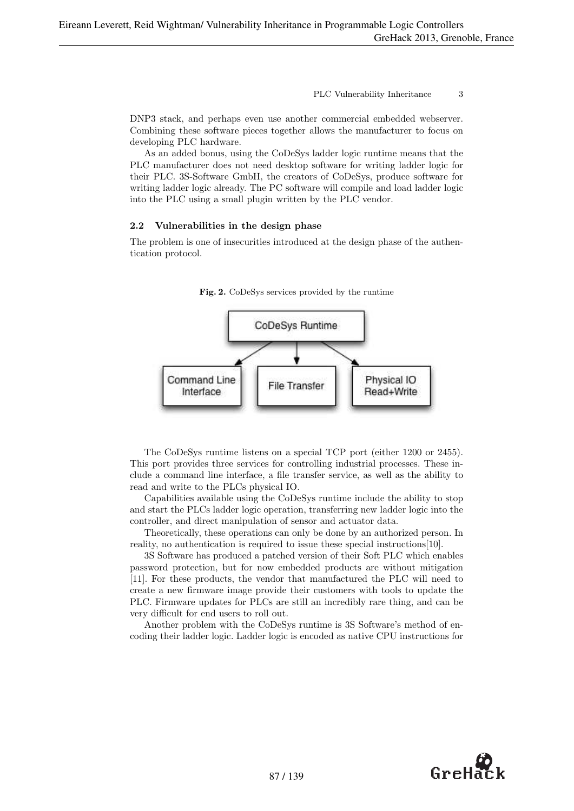DNP3 stack, and perhaps even use another commercial embedded webserver. Combining these software pieces together allows the manufacturer to focus on developing PLC hardware.

As an added bonus, using the CoDeSys ladder logic runtime means that the PLC manufacturer does not need desktop software for writing ladder logic for their PLC. 3S-Software GmbH, the creators of CoDeSys, produce software for writing ladder logic already. The PC software will compile and load ladder logic into the PLC using a small plugin written by the PLC vendor.

#### 2.2 Vulnerabilities in the design phase

The problem is one of insecurities introduced at the design phase of the authentication protocol.



Fig. 2. CoDeSys services provided by the runtime

The CoDeSys runtime listens on a special TCP port (either 1200 or 2455). This port provides three services for controlling industrial processes. These include a command line interface, a file transfer service, as well as the ability to read and write to the PLCs physical IO.

Capabilities available using the CoDeSys runtime include the ability to stop and start the PLCs ladder logic operation, transferring new ladder logic into the controller, and direct manipulation of sensor and actuator data.

Theoretically, these operations can only be done by an authorized person. In reality, no authentication is required to issue these special instructions[10].

3S Software has produced a patched version of their Soft PLC which enables password protection, but for now embedded products are without mitigation [11]. For these products, the vendor that manufactured the PLC will need to create a new firmware image provide their customers with tools to update the PLC. Firmware updates for PLCs are still an incredibly rare thing, and can be very difficult for end users to roll out.

Another problem with the CoDeSys runtime is 3S Software's method of encoding their ladder logic. Ladder logic is encoded as native CPU instructions for

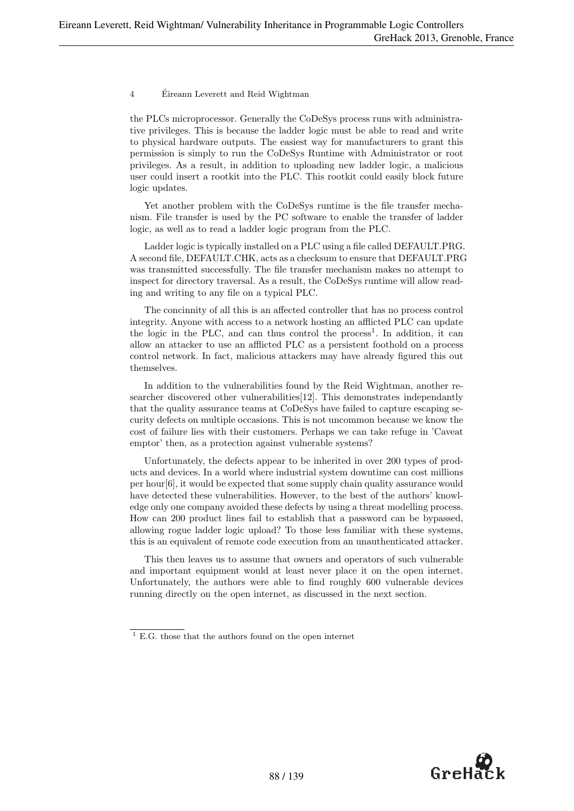the PLCs microprocessor. Generally the CoDeSys process runs with administrative privileges. This is because the ladder logic must be able to read and write to physical hardware outputs. The easiest way for manufacturers to grant this permission is simply to run the CoDeSys Runtime with Administrator or root privileges. As a result, in addition to uploading new ladder logic, a malicious user could insert a rootkit into the PLC. This rootkit could easily block future logic updates.

Yet another problem with the CoDeSys runtime is the file transfer mechanism. File transfer is used by the PC software to enable the transfer of ladder logic, as well as to read a ladder logic program from the PLC.

Ladder logic is typically installed on a PLC using a file called DEFAULT.PRG. A second file, DEFAULT.CHK, acts as a checksum to ensure that DEFAULT.PRG was transmitted successfully. The file transfer mechanism makes no attempt to inspect for directory traversal. As a result, the CoDeSys runtime will allow reading and writing to any file on a typical PLC.

The concinnity of all this is an affected controller that has no process control integrity. Anyone with access to a network hosting an afflicted PLC can update the logic in the PLC, and can thus control the process<sup>1</sup>. In addition, it can allow an attacker to use an afflicted PLC as a persistent foothold on a process control network. In fact, malicious attackers may have already figured this out themselves.

In addition to the vulnerabilities found by the Reid Wightman, another researcher discovered other vulnerabilities[12]. This demonstrates independantly that the quality assurance teams at CoDeSys have failed to capture escaping security defects on multiple occasions. This is not uncommon because we know the cost of failure lies with their customers. Perhaps we can take refuge in 'Caveat emptor' then, as a protection against vulnerable systems?

Unfortunately, the defects appear to be inherited in over 200 types of products and devices. In a world where industrial system downtime can cost millions per hour[6], it would be expected that some supply chain quality assurance would have detected these vulnerabilities. However, to the best of the authors' knowledge only one company avoided these defects by using a threat modelling process. How can 200 product lines fail to establish that a password can be bypassed, allowing rogue ladder logic upload? To those less familiar with these systems, this is an equivalent of remote code execution from an unauthenticated attacker.

This then leaves us to assume that owners and operators of such vulnerable and important equipment would at least never place it on the open internet. Unfortunately, the authors were able to find roughly 600 vulnerable devices running directly on the open internet, as discussed in the next section.



 $^{\mathrm{1}}$  E.G. those that the authors found on the open internet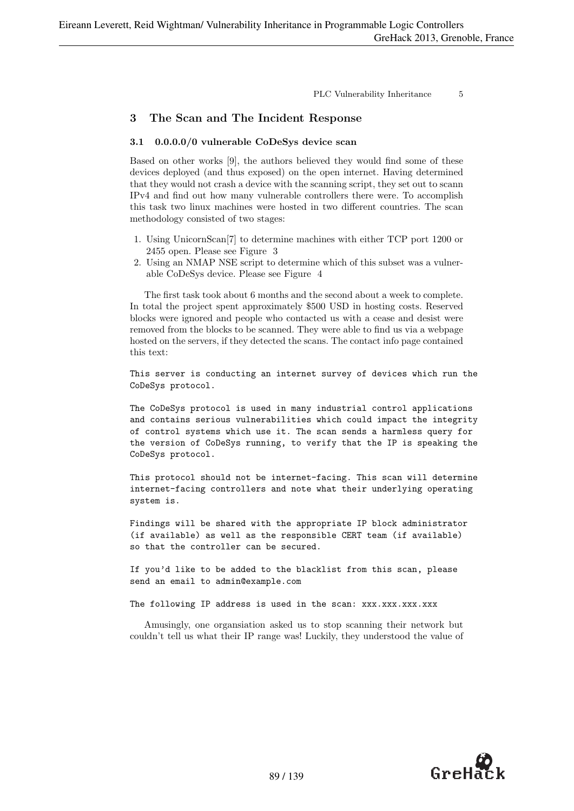### 3 The Scan and The Incident Response

#### 3.1 0.0.0.0/0 vulnerable CoDeSys device scan

Based on other works [9], the authors believed they would find some of these devices deployed (and thus exposed) on the open internet. Having determined that they would not crash a device with the scanning script, they set out to scann IPv4 and find out how many vulnerable controllers there were. To accomplish this task two linux machines were hosted in two different countries. The scan methodology consisted of two stages:

- 1. Using UnicornScan[7] to determine machines with either TCP port 1200 or 2455 open. Please see Figure 3
- 2. Using an NMAP NSE script to determine which of this subset was a vulnerable CoDeSys device. Please see Figure 4

The first task took about 6 months and the second about a week to complete. In total the project spent approximately \$500 USD in hosting costs. Reserved blocks were ignored and people who contacted us with a cease and desist were removed from the blocks to be scanned. They were able to find us via a webpage hosted on the servers, if they detected the scans. The contact info page contained this text:

This server is conducting an internet survey of devices which run the CoDeSys protocol.

The CoDeSys protocol is used in many industrial control applications and contains serious vulnerabilities which could impact the integrity of control systems which use it. The scan sends a harmless query for the version of CoDeSys running, to verify that the IP is speaking the CoDeSys protocol.

This protocol should not be internet-facing. This scan will determine internet-facing controllers and note what their underlying operating system is.

Findings will be shared with the appropriate IP block administrator (if available) as well as the responsible CERT team (if available) so that the controller can be secured.

If you'd like to be added to the blacklist from this scan, please send an email to admin@example.com

The following IP address is used in the scan: xxx.xxx.xxx.xxx

Amusingly, one organsiation asked us to stop scanning their network but couldn't tell us what their IP range was! Luckily, they understood the value of

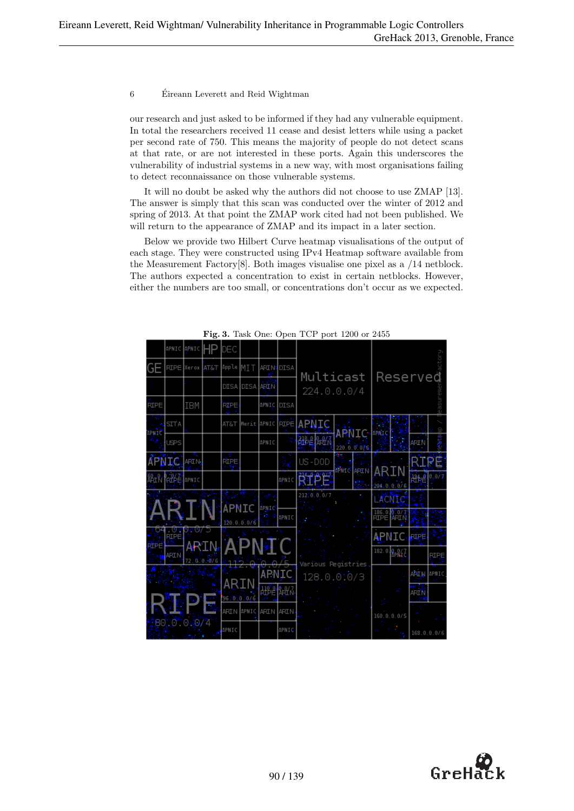our research and just asked to be informed if they had any vulnerable equipment. In total the researchers received 11 cease and desist letters while using a packet per second rate of 750. This means the majority of people do not detect scans at that rate, or are not interested in these ports. Again this underscores the vulnerability of industrial systems in a new way, with most organisations failing to detect reconnaissance on those vulnerable systems.

It will no doubt be asked why the authors did not choose to use ZMAP [13]. The answer is simply that this scan was conducted over the winter of 2012 and spring of 2013. At that point the ZMAP work cited had not been published. We will return to the appearance of ZMAP and its impact in a later section.

Below we provide two Hilbert Curve heatmap visualisations of the output of each stage. They were constructed using IPv4 Heatmap software available from the Measurement Factory[8]. Both images visualise one pixel as a /14 netblock. The authors expected a concentration to exist in certain netblocks. However, either the numbers are too small, or concentrations don't occur as we expected.

|             | APNIC                 | APNIC           |                           | DEC         |                |                    |       |                          |                            |                                       |             |             |
|-------------|-----------------------|-----------------|---------------------------|-------------|----------------|--------------------|-------|--------------------------|----------------------------|---------------------------------------|-------------|-------------|
| GE          | RIPE Nerox            |                 | <b>AT&amp;T</b> Apple MIT |             |                | <b>ARIN PISA</b>   |       |                          |                            |                                       |             |             |
|             |                       |                 |                           |             | DISA DISA ARIV |                    |       | Multicast<br>224.0.0.0/4 |                            |                                       | Reserved    |             |
| <b>RÍPE</b> |                       | IBM             |                           | <b>FERE</b> |                | APNIC              | DISA  |                          |                            |                                       |             |             |
|             | <b>SITA</b>           |                 |                           | AT&T        | Herit          | APNIC EIRE         |       | 2. Phalis                |                            |                                       |             |             |
| 1. IAN      | <b>USPS</b>           |                 |                           |             |                | APNIC              | - 57  | <b>RACE AND</b>          | MOLE<br>an y               | Fivirie                               | 计定位         |             |
|             | <b>FATO</b>           | $ F^2$ $\Box$   |                           | ľĖ,         |                |                    |       | US-DOD                   |                            |                                       |             |             |
|             | k¥ ≧lemc              |                 |                           |             |                |                    | APNIC | narawa<br>Mga B          | <mark>ਸਿੰਘ ਨੇ</mark> ਮਿਤੀਮ | 43 KB                                 | ķ.          |             |
|             |                       |                 |                           |             |                |                    |       | 212'0'0'0.07             |                            | ปีย์ของกฤษมี อ<br><b>LACITIE</b>      |             |             |
|             |                       |                 |                           | APM I.C     |                | *ana. <sup>3</sup> | deu c |                          |                            | 186.0 0 0 0<br>RIPE <mark>MRIN</mark> |             |             |
| a an        | <b>TO 22</b><br>k. PE | <b>SOUTHERN</b> |                           | 120.0.0.076 |                |                    |       |                          |                            | $\bigoplus$ MIC                       | rija E      |             |
| كتفت        | ولأكلمهم              | المناوية        |                           |             |                | AP N9FC            |       |                          |                            | $182.0$ $R/M_c$                       |             | <b>RIPE</b> |
|             |                       | 72 stuffs.48/6/ |                           |             |                | M <sub>a</sub> sa  |       | Various Registries       |                            |                                       | ीय प्र      | APMIC       |
|             |                       |                 |                           |             |                |                    | 地理机   | 128.0.010/3              |                            |                                       |             |             |
|             |                       |                 | š                         | huana Mit   |                |                    |       |                          |                            |                                       | ARTĂ        |             |
|             |                       | 8010* 04077     |                           | ARIN MPNIC  |                | ARIN JARIN.        |       |                          |                            | 160.0.0.0/5                           |             |             |
|             |                       |                 |                           | APNIC       |                |                    | APNIÇ |                          |                            |                                       | 168.0.0.0/6 |             |

Fig. 3. Task One: Open TCP port 1200 or 2455

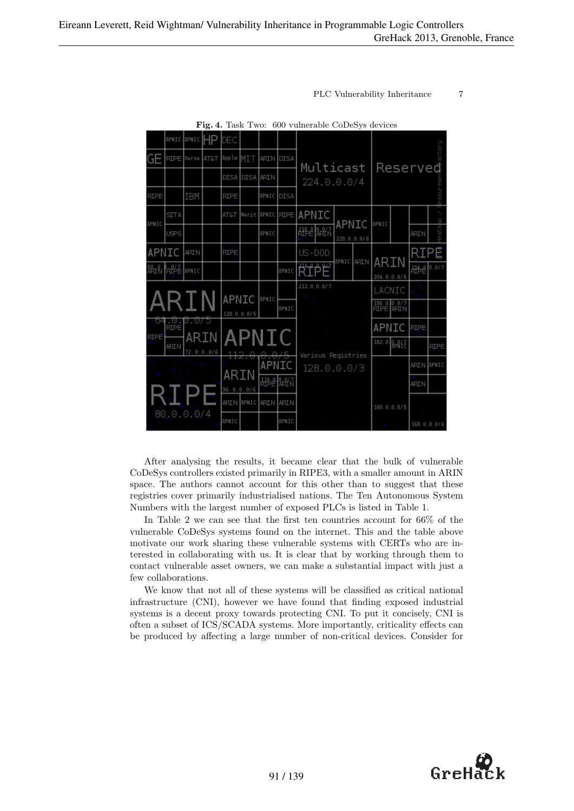|                                        | APNIC APNIC HP |                 | IDEC               |                |                 |            |                        |       |             |                          |                   |             |
|----------------------------------------|----------------|-----------------|--------------------|----------------|-----------------|------------|------------------------|-------|-------------|--------------------------|-------------------|-------------|
|                                        | RIPE Nerox     | <b>AT&amp;T</b> | Apple MIT          |                | ARIN DISA       |            | Multicast              |       |             |                          | Reserved          |             |
|                                        |                |                 | DISA               |                | DISA ARIN       |            | 224.0.0.0/4            |       |             |                          |                   |             |
| RIPE                                   | IBM            |                 | <b>RIPE</b>        |                |                 | APNIC DISA |                        |       |             |                          |                   | easu        |
| <b>SITA</b><br>APNIC                   |                |                 | AT&T               |                |                 |            | Merit APNIC RIPE APNIC | APNIC |             | APNIC                    |                   | 여박          |
| <b>USPS</b>                            |                |                 |                    |                | APNIC           |            | ้มะย¶มะ∧ั              |       | 220.0.0.0/6 |                          | ARIN              | eatm        |
| APNIC                                  | ARIN           |                 | <b>RIPE</b>        |                |                 |            | US-DOD                 |       | APNIC ARIN  | ARIN                     |                   |             |
| 8Aî Nî Îrî 6Ê <mark>l</mark> apni c    |                |                 |                    |                |                 | APNIC      | 西北                     |       |             | 204.0.0.0/6              | 饰尾                | 10.0/7      |
|                                        |                |                 | APNIC              |                | APNIC           |            | 212.0.0.0/7            |       |             | LACNIC                   |                   |             |
| २ा                                     |                |                 |                    | 120.0.0.0/6    |                 | APNIC      |                        |       |             | 186.0.0.0/7<br>RIPE ARIN |                   |             |
| 64<br><b>RIPE</b><br>FIPE <sup>"</sup> | .U.U.U/5       |                 |                    |                | APNIC           |            |                        |       |             | APNIC                    | FIF E             |             |
| <b>ARIN</b>                            | ARIN           | 72.0.0.0/6      | 112.               | <del>0.0</del> |                 |            | Various Registries     |       |             | 182.0 BPALE              |                   | <b>RIPE</b> |
|                                        | the states     |                 |                    |                | APNIC           |            | 128.0.0.0/3            |       |             |                          | <b>ARIN</b> APNIC |             |
|                                        |                |                 | ARIN<br>96.0.0.0/6 |                | <b>ABA 1887</b> |            |                        |       |             |                          | <b>ART N</b>      |             |
|                                        |                |                 |                    | ARIN NAPNIC    | Jarin Jarin     |            |                        |       |             | 160.0.0.0/5              |                   |             |
| 80.0.0:0/4                             |                |                 | APNIC              |                |                 | APNIC      |                        |       |             | $\sim$                   |                   | 168.0.0.0/6 |

Fig. 4. Task Two: 600 vulnerable CoDeSys devices

After analysing the results, it became clear that the bulk of vulnerable CoDeSys controllers existed primarily in RIPE3, with a smaller amount in ARIN space. The authors cannot account for this other than to suggest that these registries cover primarily industrialised nations. The Ten Autonomous System Numbers with the largest number of exposed PLCs is listed in Table 1.

In Table 2 we can see that the first ten countries account for 66% of the vulnerable CoDeSys systems found on the internet. This and the table above motivate our work sharing these vulnerable systems with CERTs who are interested in collaborating with us. It is clear that by working through them to contact vulnerable asset owners, we can make a substantial impact with just a few collaborations.

We know that not all of these systems will be classified as critical national infrastructure (CNI), however we have found that finding exposed industrial systems is a decent proxy towards protecting CNI. To put it concisely, CNI is often a subset of ICS/SCADA systems. More importantly, criticality effects can be produced by affecting a large number of non-critical devices. Consider for

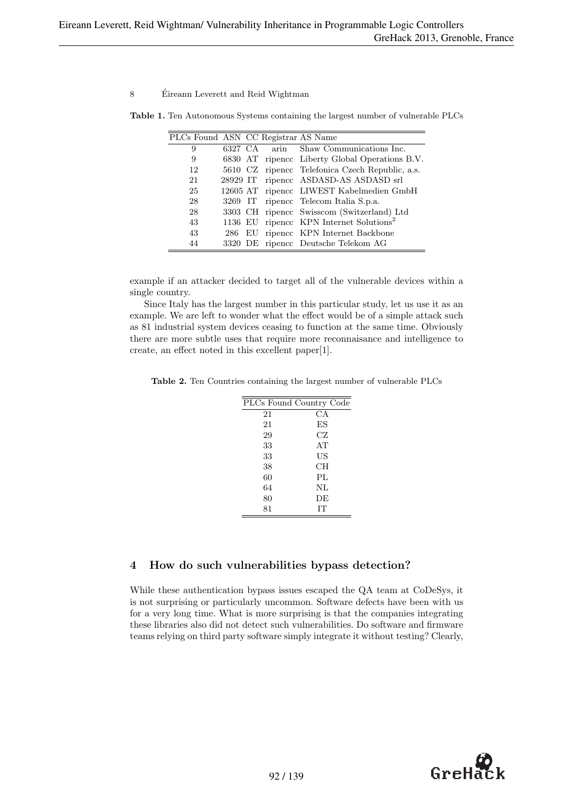| PLCs Found ASN CC Registrar AS Name |          |  |                                                     |
|-------------------------------------|----------|--|-----------------------------------------------------|
| 9                                   |          |  | 6327 CA arin Shaw Communications Inc.               |
| 9                                   |          |  | 6830 AT ripence Liberty Global Operations B.V.      |
| 12                                  |          |  | 5610 CZ ripence Telefonica Czech Republic, a.s.     |
| 21                                  | 28929 IT |  | ripence ASDASD-AS ASDASD srl                        |
| 25                                  |          |  | 12605 AT ripencc LIWEST Kabelmedien GmbH            |
| 28                                  |          |  | 3269 IT ripence Telecom Italia S.p.a.               |
| 28                                  |          |  | 3303 CH ripence Swisscom (Switzerland) Ltd          |
| 43                                  |          |  | 1136 EU ripence KPN Internet Solutions <sup>2</sup> |
| 43                                  | 286      |  | EU ripence KPN Internet Backbone                    |
| 44                                  |          |  | 3320 DE ripence Deutsche Telekom AG                 |

Table 1. Ten Autonomous Systems containing the largest number of vulnerable PLCs

example if an attacker decided to target all of the vulnerable devices within a single country.

Since Italy has the largest number in this particular study, let us use it as an example. We are left to wonder what the effect would be of a simple attack such as 81 industrial system devices ceasing to function at the same time. Obviously there are more subtle uses that require more reconnaisance and intelligence to create, an effect noted in this excellent paper[1].

Table 2. Ten Countries containing the largest number of vulnerable PLCs

|    | PLCs Found Country Code |
|----|-------------------------|
| 21 | СA                      |
| 21 | ES                      |
| 29 | CZ                      |
| 33 | AT                      |
| 33 | US                      |
| 38 | CН                      |
| 60 | PL                      |
| 64 | NL                      |
| 80 | DE                      |
| 81 | IТ                      |

#### 4 How do such vulnerabilities bypass detection?

While these authentication bypass issues escaped the QA team at CoDeSys, it is not surprising or particularly uncommon. Software defects have been with us for a very long time. What is more surprising is that the companies integrating these libraries also did not detect such vulnerabilities. Do software and firmware teams relying on third party software simply integrate it without testing? Clearly,

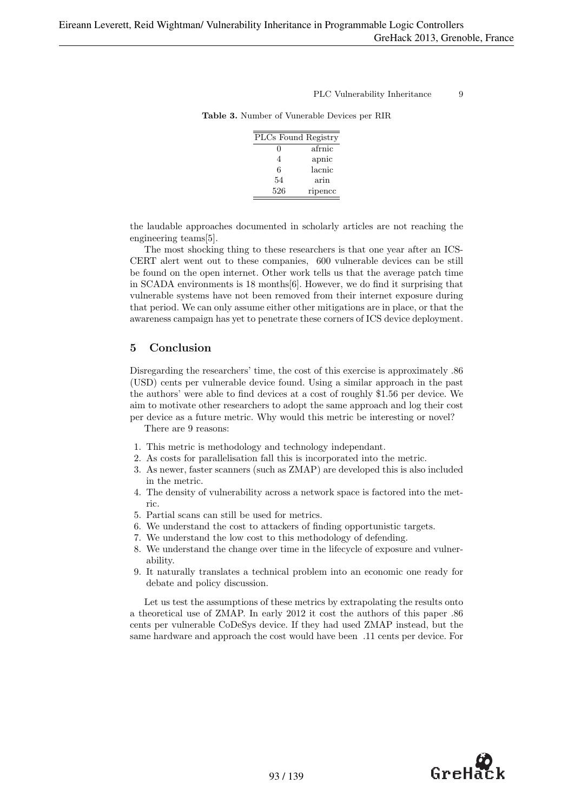| PLCs Found Registry |         |
|---------------------|---------|
| $\mathbf{\Omega}$   | afrnic  |
| 4                   | apnic   |
| 6                   | lacnic  |
| 54                  | arin    |
| 526                 | ripencc |

Table 3. Number of Vunerable Devices per RIR

the laudable approaches documented in scholarly articles are not reaching the engineering teams[5].

The most shocking thing to these researchers is that one year after an ICS-CERT alert went out to these companies, 600 vulnerable devices can be still be found on the open internet. Other work tells us that the average patch time in SCADA environments is 18 months[6]. However, we do find it surprising that vulnerable systems have not been removed from their internet exposure during that period. We can only assume either other mitigations are in place, or that the awareness campaign has yet to penetrate these corners of ICS device deployment.

### 5 Conclusion

Disregarding the researchers' time, the cost of this exercise is approximately .86 (USD) cents per vulnerable device found. Using a similar approach in the past the authors' were able to find devices at a cost of roughly \$1.56 per device. We aim to motivate other researchers to adopt the same approach and log their cost per device as a future metric. Why would this metric be interesting or novel?

There are 9 reasons:

- 1. This metric is methodology and technology independant.
- 2. As costs for parallelisation fall this is incorporated into the metric.
- 3. As newer, faster scanners (such as ZMAP) are developed this is also included in the metric.
- 4. The density of vulnerability across a network space is factored into the metric.
- 5. Partial scans can still be used for metrics.
- 6. We understand the cost to attackers of finding opportunistic targets.
- 7. We understand the low cost to this methodology of defending.
- 8. We understand the change over time in the lifecycle of exposure and vulnerability.
- 9. It naturally translates a technical problem into an economic one ready for debate and policy discussion.

Let us test the assumptions of these metrics by extrapolating the results onto a theoretical use of ZMAP. In early 2012 it cost the authors of this paper .86 cents per vulnerable CoDeSys device. If they had used ZMAP instead, but the same hardware and approach the cost would have been .11 cents per device. For

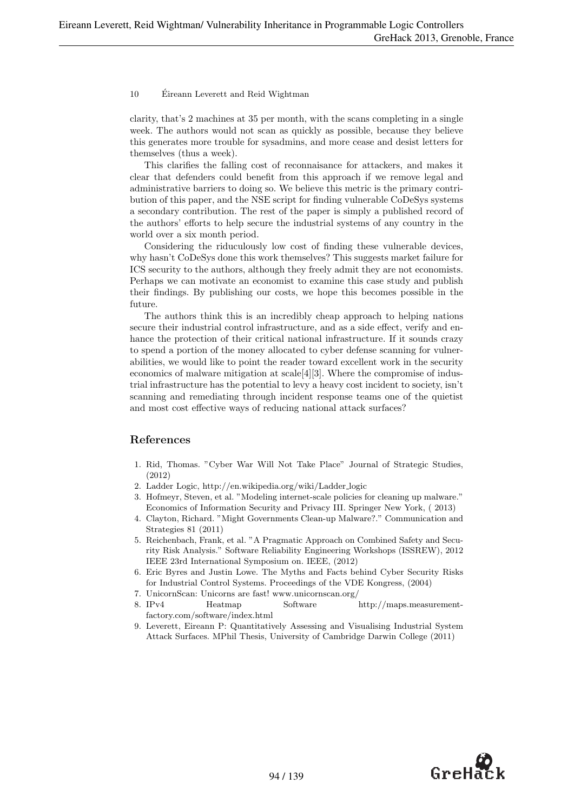clarity, that's 2 machines at 35 per month, with the scans completing in a single week. The authors would not scan as quickly as possible, because they believe this generates more trouble for sysadmins, and more cease and desist letters for themselves (thus a week).

This clarifies the falling cost of reconnaisance for attackers, and makes it clear that defenders could benefit from this approach if we remove legal and administrative barriers to doing so. We believe this metric is the primary contribution of this paper, and the NSE script for finding vulnerable CoDeSys systems a secondary contribution. The rest of the paper is simply a published record of the authors' efforts to help secure the industrial systems of any country in the world over a six month period.

Considering the riduculously low cost of finding these vulnerable devices, why hasn't CoDeSys done this work themselves? This suggests market failure for ICS security to the authors, although they freely admit they are not economists. Perhaps we can motivate an economist to examine this case study and publish their findings. By publishing our costs, we hope this becomes possible in the future.

The authors think this is an incredibly cheap approach to helping nations secure their industrial control infrastructure, and as a side effect, verify and enhance the protection of their critical national infrastructure. If it sounds crazy to spend a portion of the money allocated to cyber defense scanning for vulnerabilities, we would like to point the reader toward excellent work in the security economics of malware mitigation at scale[4][3]. Where the compromise of industrial infrastructure has the potential to levy a heavy cost incident to society, isn't scanning and remediating through incident response teams one of the quietist and most cost effective ways of reducing national attack surfaces?

#### References

- 1. Rid, Thomas. "Cyber War Will Not Take Place" Journal of Strategic Studies, (2012)
- 2. Ladder Logic, http://en.wikipedia.org/wiki/Ladder logic
- 3. Hofmeyr, Steven, et al. "Modeling internet-scale policies for cleaning up malware." Economics of Information Security and Privacy III. Springer New York, ( 2013)
- 4. Clayton, Richard. "Might Governments Clean-up Malware?." Communication and Strategies 81 (2011)
- 5. Reichenbach, Frank, et al. "A Pragmatic Approach on Combined Safety and Security Risk Analysis." Software Reliability Engineering Workshops (ISSREW), 2012 IEEE 23rd International Symposium on. IEEE, (2012)
- 6. Eric Byres and Justin Lowe. The Myths and Facts behind Cyber Security Risks for Industrial Control Systems. Proceedings of the VDE Kongress, (2004)
- 7. UnicornScan: Unicorns are fast! www.unicornscan.org/
- 8. IPv4 Heatmap Software http://maps.measurementfactory.com/software/index.html
- 9. Leverett, Eireann P: Quantitatively Assessing and Visualising Industrial System Attack Surfaces. MPhil Thesis, University of Cambridge Darwin College (2011)

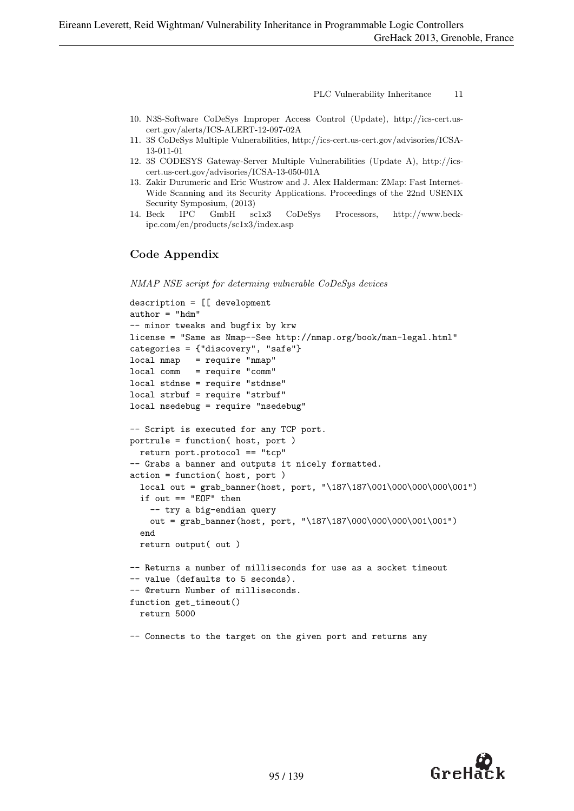- 10. N3S-Software CoDeSys Improper Access Control (Update), http://ics-cert.uscert.gov/alerts/ICS-ALERT-12-097-02A
- 11. 3S CoDeSys Multiple Vulnerabilities, http://ics-cert.us-cert.gov/advisories/ICSA-13-011-01
- 12. 3S CODESYS Gateway-Server Multiple Vulnerabilities (Update A), http://icscert.us-cert.gov/advisories/ICSA-13-050-01A
- 13. Zakir Durumeric and Eric Wustrow and J. Alex Halderman: ZMap: Fast Internet-Wide Scanning and its Security Applications. Proceedings of the 22nd USENIX Security Symposium, (2013)
- 14. Beck IPC GmbH sc1x3 CoDeSys Processors, http://www.beckipc.com/en/products/sc1x3/index.asp

### Code Appendix

NMAP NSE script for determing vulnerable CoDeSys devices

```
description = [[ development
author = "hdm"-- minor tweaks and bugfix by krw
license = "Same as Nmap--See http://nmap.org/book/man-legal.html"
categories = {"discovery", "safe"}
local nmap = require "nmap"
local comm = require "comm"
local stdnse = require "stdnse"
local strbuf = require "strbuf"
local nsedebug = require "nsedebug"
-- Script is executed for any TCP port.
portrule = function( host, port )
 return port.protocol == "tcp"
-- Grabs a banner and outputs it nicely formatted.
action = function( host, port )
  local out = grab_banner(host, port, "\187\187\001\000\000\000\001")
  if out == "EOF" then
    -- try a big-endian query
    out = grab_banner(host, port, "\187\187\000\000\000\001\001")
  end
  return output( out )
-- Returns a number of milliseconds for use as a socket timeout
-- value (defaults to 5 seconds).
-- @return Number of milliseconds.
function get_timeout()
  return 5000
```
-- Connects to the target on the given port and returns any

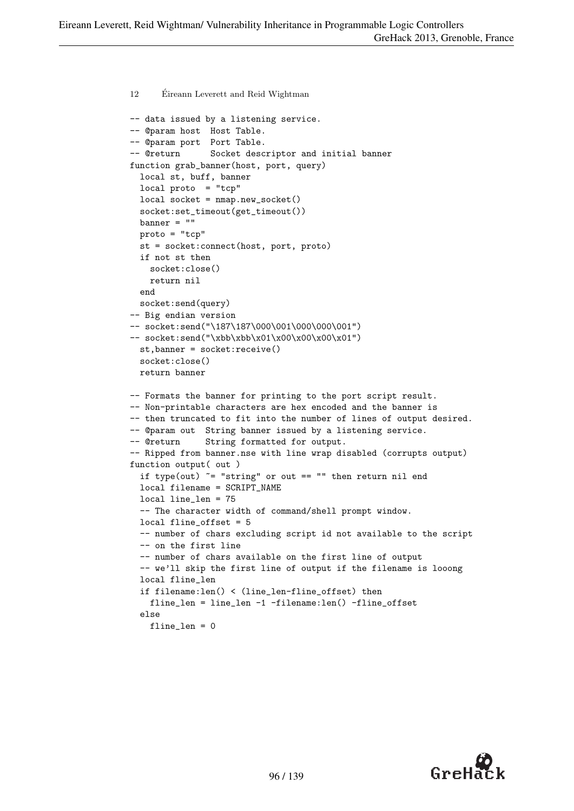```
12 Eireann Leverett and Reid Wightman ´
-- data issued by a listening service.
-- @param host Host Table.
-- @param port Port Table.
-- @return Socket descriptor and initial banner
function grab_banner(host, port, query)
  local st, buff, banner
  local proto = "tcp"
  local socket = nmap.new_socket()
  socket:set_timeout(get_timeout())
  banner = ""
  proto = "tcp"
  st = socket:connect(host, port, proto)
  if not st then
    socket:close()
   return nil
  end
  socket:send(query)
-- Big endian version
-- socket:send("\187\187\000\001\000\000\001")
-- socket:send("\xbb\xbb\x01\x00\x00\x00\x01")
  st,banner = socket:receive()
  socket:close()
  return banner
-- Formats the banner for printing to the port script result.
-- Non-printable characters are hex encoded and the banner is
-- then truncated to fit into the number of lines of output desired.
-- @param out String banner issued by a listening service.
-- @return String formatted for output.
-- Ripped from banner.nse with line wrap disabled (corrupts output)
function output( out )
  if type(out) \tilde{ } = "string" or out == "" then return nil end
  local filename = SCRIPT_NAME
 local line_len = 75
  -- The character width of command/shell prompt window.
  local fline_offset = 5
  -- number of chars excluding script id not available to the script
  -- on the first line
  -- number of chars available on the first line of output
  -- we'll skip the first line of output if the filename is looong
  local fline_len
  if filename:len() < (line_len-fline_offset) then
    fline_len = line_len -1 -filename:len() -fline_offset
  else
    fline_len = 0
```
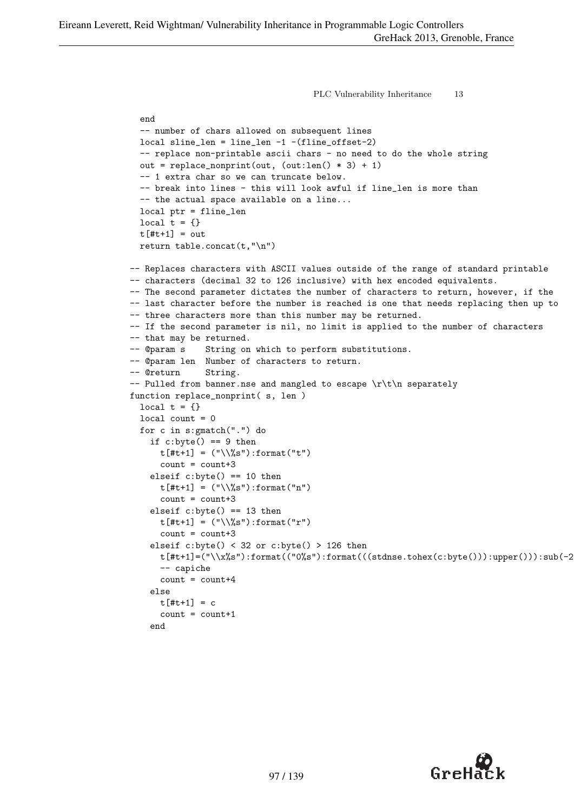```
PLC Vulnerability Inheritance 13
  end
  -- number of chars allowed on subsequent lines
  local sline_len = line_len -1 -(fline_offset-2)
  -- replace non-printable ascii chars - no need to do the whole string
  out = replace_nonprint(out, (out:len() * 3) + 1)-- 1 extra char so we can truncate below.
  -- break into lines - this will look awful if line_len is more than
  -- the actual space available on a line...
  local ptr = fline_len
  local t = \{\}t[#t+1] = outreturn table.concat(t,"\n")
-- Replaces characters with ASCII values outside of the range of standard printable
-- characters (decimal 32 to 126 inclusive) with hex encoded equivalents.
-- The second parameter dictates the number of characters to return, however, if the
-- last character before the number is reached is one that needs replacing then up to
-- three characters more than this number may be returned.
-- If the second parameter is nil, no limit is applied to the number of characters
-- that may be returned.
-- @param s String on which to perform substitutions.
-- @param len Number of characters to return.
-- @return String.
-- Pulled from banner.nse and mangled to escape \r\t\n separately
function replace_nonprint( s, len )
  local t = \{\}local count = 0for c in s:gmatch(".") do
    if c:byte() == 9 thent[#t+1] = ("\\%s") : format("t")count = count + 3elseif c:byte() == 10 thent[#t+1] = ("\\\\%s") : format("n")count = count + 3elseif c:byte() == 13 thent[#t+1] = ("\\$\%s"): format("r")count = count + 3elseif c:byte() < 32 or c:byte() > 126 then
      t[#t+1] = ("\\x\&s") : format(("0\&s") : format(((stdnse.\iota \text{check}(c:byte))) : upper())):sub(-2,1)-- capiche
      count = count+4else
      t[#t+1] = ccount = count + 1end
```